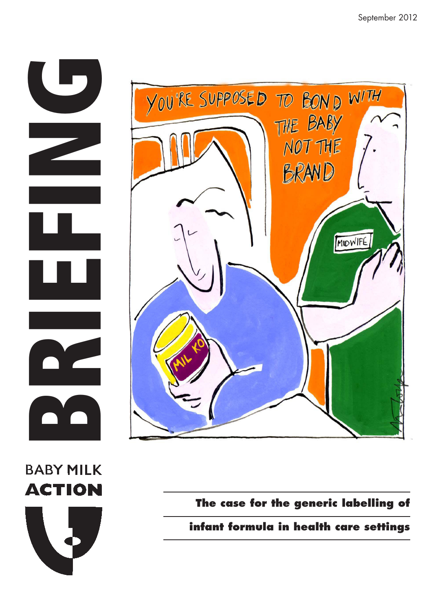





**The case for the generic labelling of** 

**infant formula in health care settings**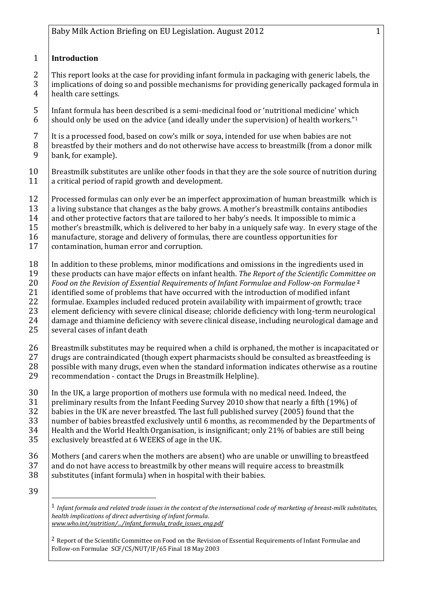## 1 **Introduction**

2 This report looks at the case for providing infant formula in packaging with generic labels, the 3 implications of doing so and possible mechanisms for providing generically packaged formula in 4 | health care settings.

5 Infant formula has been described is a semi-medicinal food or 'nutritional medicine' which 6 should only be used on the advice (and ideally under the supervision) of health workers."<sup>1</sup>

 $7$  It is a processed food, based on cow's milk or sova, intended for use when babies are not 8 breastfed by their mothers and do not otherwise have access to breastmilk (from a donor milk 9 bank, for example).

- 10 Breastmilk substitutes are unlike other foods in that they are the sole source of nutrition during 11 a critical period of rapid growth and development.
- 12 Processed formulas can only ever be an imperfect approximation of human breastmilk which is  $13$  a living substance that changes as the baby grows. A mother's breastmilk contains antibodies
- 14 and other protective factors that are tailored to her baby's needs. It impossible to mimic a  $15$  mother's breastmilk, which is delivered to her baby in a uniquely safe way. In every stage of the
- 16 manufacture, storage and delivery of formulas, there are countless opportunities for
- 17 contamination, human error and corruption.
- 18 | In addition to these problems, minor modifications and omissions in the ingredients used in 19 these products can have major effects on infant health*. The Report of the Scientific Committee on*  20 *Food on the Revision of Essential Requirements of Infant Formulae and Follow-on Formulae* **<sup>2</sup>** 21 | identified some of problems that have occurred with the introduction of modified infant 22 formulae. Examples included reduced protein availability with impairment of growth; trace 23 element deficiency with severe clinical disease; chloride deficiency with long-term neurological 24 damage and thiamine deficiency with severe clinical disease, including neurological damage and <br>25 several cases of infant death several cases of infant death
- 26 Breastmilk substitutes may be required when a child is orphaned, the mother is incapacitated or 27 drugs are contraindicated (though expert pharmacists should be consulted as breastfeeding is 28 possible with many drugs, even when the standard information indicates otherwise as a routine 29  $\vert$  recommendation - contact the Drugs in Breastmilk Helpline).
- 30 In the UK, a large proportion of mothers use formula with no medical need. Indeed, the  $31$  preliminary results from the Infant Feeding Survey 2010 show that nearly a fifth (19%) of 32 babies in the UK are never breastfed. The last full published survey (2005) found that the 33 | number of babies breastfed exclusively until 6 months, as recommended by the Departments of  $34$  Health and the World Health Organisation, is insignificant; only 21% of babies are still being 35 exclusively breastfed at 6 WEEKS of age in the UK.
- 36 Mothers (and carers when the mothers are absent) who are unable or unwilling to breastfeed 37 and do not have access to breastmilk by other means will require access to breastmilk
- 38 Substitutes (infant formula) when in hospital with their babies.
- 39

1 *Infant formula and related trade issues in the context of the international code of marketing of breast-milk substitutes, health implications of direct advertising of infant formula. www.who.int/nutrition/.../infant\_formula\_trade\_issues\_eng.pdf*

 $<sup>2</sup>$  Report of the Scientific Committee on Food on the Revision of Essential Requirements of Infant Formulae and</sup> Follow-on Formulae SCF/CS/NUT/IF/65 Final 18 May 2003